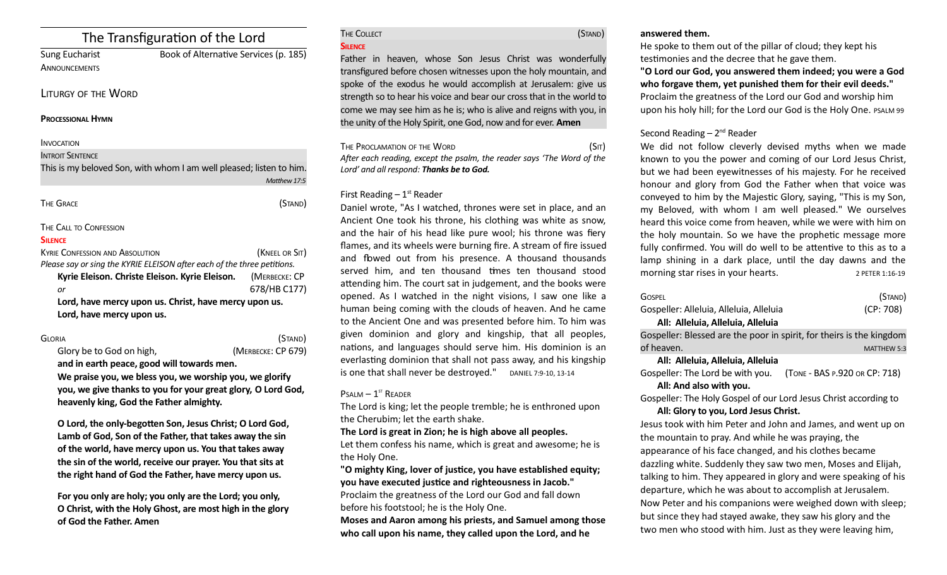# The Transfiguration of the Lord

Sung Eucharist Book **ANNOUNCEMENTS** 

| ok of Alternative Services (p. 185) |  |
|-------------------------------------|--|

## LITURGY OF THE WORD

#### **PROCESSIONAL HYMN**

#### **INVOCATION**

INTROIT SENTENCE

This is my beloved Son, with whom I am well pleased; listen to him.  *Mathew 17:5*

| THE GRACE | (STAND) |  |
|-----------|---------|--|
|           |         |  |

## THE CALL TO CONFESSION

#### **SILENCE**

| <b>KYRIE CONFESSION AND ABSOLUTION</b>                                  | (KNEEL OR SIT) |  |
|-------------------------------------------------------------------------|----------------|--|
| Please say or sing the KYRIE ELEISON after each of the three petitions. |                |  |
| Kyrie Eleison. Christe Eleison. Kyrie Eleison.                          | (MERBECKE: CP  |  |
| or                                                                      | 678/HB C177)   |  |
| Lord, have mercy upon us. Christ, have mercy upon us.                   |                |  |
| Lord, have mercy upon us.                                               |                |  |

## GLORIA (STAND)

Glory be to God on high, *(MERBECKE: CP 679)* **and in earth peace, good will towards men. We praise you, we bless you, we worship you, we glorify you, we give thanks to you for your great glory, O Lord God, heavenly king, God the Father almighty.** 

**O Lord, the only-begoten Son, Jesus Christ; O Lord God, Lamb of God, Son of the Father, that takes away the sin of the world, have mercy upon us. You that takes away the sin of the world, receive our prayer. You that sits at the right hand of God the Father, have mercy upon us.** 

**For you only are holy; you only are the Lord; you only, O Christ, with the Holy Ghost, are most high in the glory of God the Father. Amen**

#### THE COLLECT **STAND SILENCE**

Father in heaven, whose Son Jesus Christ was wonderfully transfgured before chosen witnesses upon the holy mountain, and spoke of the exodus he would accomplish at Jerusalem: give us strength so to hear his voice and bear our cross that in the world to come we may see him as he is; who is alive and reigns with you, in the unity of the Holy Spirit, one God, now and for ever. **Amen**

THE PROCLAMATION OF THE WORD (SIT) *Afer each reading, except the psalm, the reader says 'The Word of the Lord' and all respond: Thanks be to God.* 

## First Reading  $-1<sup>st</sup>$  Reader

Daniel wrote, "As I watched, thrones were set in place, and an Ancient One took his throne, his clothing was white as snow, and the hair of his head like pure wool; his throne was fiery flames, and its wheels were burning fire. A stream of fire issued and flowed out from his presence. A thousand thousands served him, and ten thousand tmes ten thousand stood atending him. The court sat in judgement, and the books were opened. As I watched in the night visions, I saw one like a human being coming with the clouds of heaven. And he came to the Ancient One and was presented before him. To him was given dominion and glory and kingship, that all peoples, nations, and languages should serve him. His dominion is an everlasting dominion that shall not pass away, and his kingship is one that shall never be destroyed." DANIEL 7:9-10, 13-14

## $P$ SALM  $-1$ <sup>ST</sup> READER

The Lord is king; let the people tremble; he is enthroned upon the Cherubim; let the earth shake.

**The Lord is great in Zion; he is high above all peoples.**

Let them confess his name, which is great and awesome; he is the Holy One.

**"O mighty King, lover of justice, you have established equity; you have executed justice and righteousness in Jacob."** Proclaim the greatness of the Lord our God and fall down

before his footstool; he is the Holy One.

**Moses and Aaron among his priests, and Samuel among those who call upon his name, they called upon the Lord, and he** 

## **answered them.**

He spoke to them out of the pillar of cloud; they kept his testmonies and the decree that he gave them.

**"O Lord our God, you answered them indeed; you were a God who forgave them, yet punished them for their evil deeds."** Proclaim the greatness of the Lord our God and worship him upon his holy hill; for the Lord our God is the Holy One. PSALM 99

## Second Reading  $-2^{nd}$  Reader

We did not follow cleverly devised myths when we made known to you the power and coming of our Lord Jesus Christ, but we had been eyewitnesses of his majesty. For he received honour and glory from God the Father when that voice was conveyed to him by the Majestic Glory, saying, "This is my Son, my Beloved, with whom I am well pleased." We ourselves heard this voice come from heaven, while we were with him on the holy mountain. So we have the prophetic message more fully confirmed. You will do well to be attentive to this as to a lamp shining in a dark place, until the day dawns and the morning star rises in your hearts. 2 PETER 1:16-19

| <b>GOSPEL</b>                                                        | (Stand)   |
|----------------------------------------------------------------------|-----------|
| Gospeller: Alleluia, Alleluia, Alleluia                              | (CP: 708) |
| All: Alleluia, Alleluia, Alleluia                                    |           |
| Gospeller: Blessed are the poor in spirit, for theirs is the kingdom |           |
|                                                                      |           |

of heaven. MATTHEW 5:3

## **All: Alleluia, Alleluia, Alleluia**

Gospeller: The Lord be with you. (TONE - BAS P.920 OR CP: 718) **All: And also with you.** 

Gospeller: The Holy Gospel of our Lord Jesus Christ according to **All: Glory to you, Lord Jesus Christ.**

Jesus took with him Peter and John and James, and went up on the mountain to pray. And while he was praying, the appearance of his face changed, and his clothes became dazzling white. Suddenly they saw two men, Moses and Elijah, talking to him. They appeared in glory and were speaking of his departure, which he was about to accomplish at Jerusalem. Now Peter and his companions were weighed down with sleep; but since they had stayed awake, they saw his glory and the two men who stood with him. Just as they were leaving him,